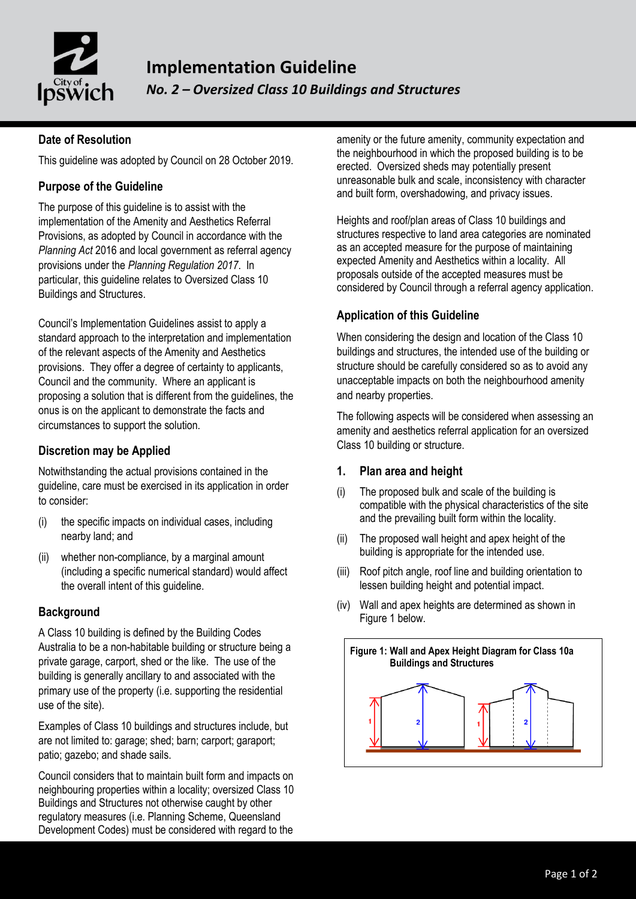

## **Date of Resolution**

This guideline was adopted by Council on 28 October 2019.

### **Purpose of the Guideline**

The purpose of this guideline is to assist with the implementation of the Amenity and Aesthetics Referral Provisions, as adopted by Council in accordance with the *Planning Act* 2016 and local government as referral agency provisions under the *Planning Regulation 2017*. In particular, this guideline relates to Oversized Class 10 Buildings and Structures.

Council's Implementation Guidelines assist to apply a standard approach to the interpretation and implementation of the relevant aspects of the Amenity and Aesthetics provisions. They offer a degree of certainty to applicants, Council and the community. Where an applicant is proposing a solution that is different from the guidelines, the onus is on the applicant to demonstrate the facts and circumstances to support the solution.

#### **Discretion may be Applied**

Notwithstanding the actual provisions contained in the guideline, care must be exercised in its application in order to consider:

- (i) the specific impacts on individual cases, including nearby land; and
- (ii) whether non-compliance, by a marginal amount (including a specific numerical standard) would affect the overall intent of this guideline.

#### **Background**

A Class 10 building is defined by the Building Codes Australia to be a non-habitable building or structure being a private garage, carport, shed or the like. The use of the building is generally ancillary to and associated with the primary use of the property (i.e. supporting the residential use of the site).

Examples of Class 10 buildings and structures include, but are not limited to: garage; shed; barn; carport; garaport; patio; gazebo; and shade sails.

Council considers that to maintain built form and impacts on neighbouring properties within a locality; oversized Class 10 Buildings and Structures not otherwise caught by other regulatory measures (i.e. Planning Scheme, Queensland Development Codes) must be considered with regard to the

amenity or the future amenity, community expectation and the neighbourhood in which the proposed building is to be erected. Oversized sheds may potentially present unreasonable bulk and scale, inconsistency with character and built form, overshadowing, and privacy issues.

Heights and roof/plan areas of Class 10 buildings and structures respective to land area categories are nominated as an accepted measure for the purpose of maintaining expected Amenity and Aesthetics within a locality. All proposals outside of the accepted measures must be considered by Council through a referral agency application.

### **Application of this Guideline**

When considering the design and location of the Class 10 buildings and structures, the intended use of the building or structure should be carefully considered so as to avoid any unacceptable impacts on both the neighbourhood amenity and nearby properties.

The following aspects will be considered when assessing an amenity and aesthetics referral application for an oversized Class 10 building or structure.

#### **1. Plan area and height**

- (i) The proposed bulk and scale of the building is compatible with the physical characteristics of the site and the prevailing built form within the locality.
- (ii) The proposed wall height and apex height of the building is appropriate for the intended use.
- (iii) Roof pitch angle, roof line and building orientation to lessen building height and potential impact.
- (iv) Wall and apex heights are determined as shown in Figure 1 below.